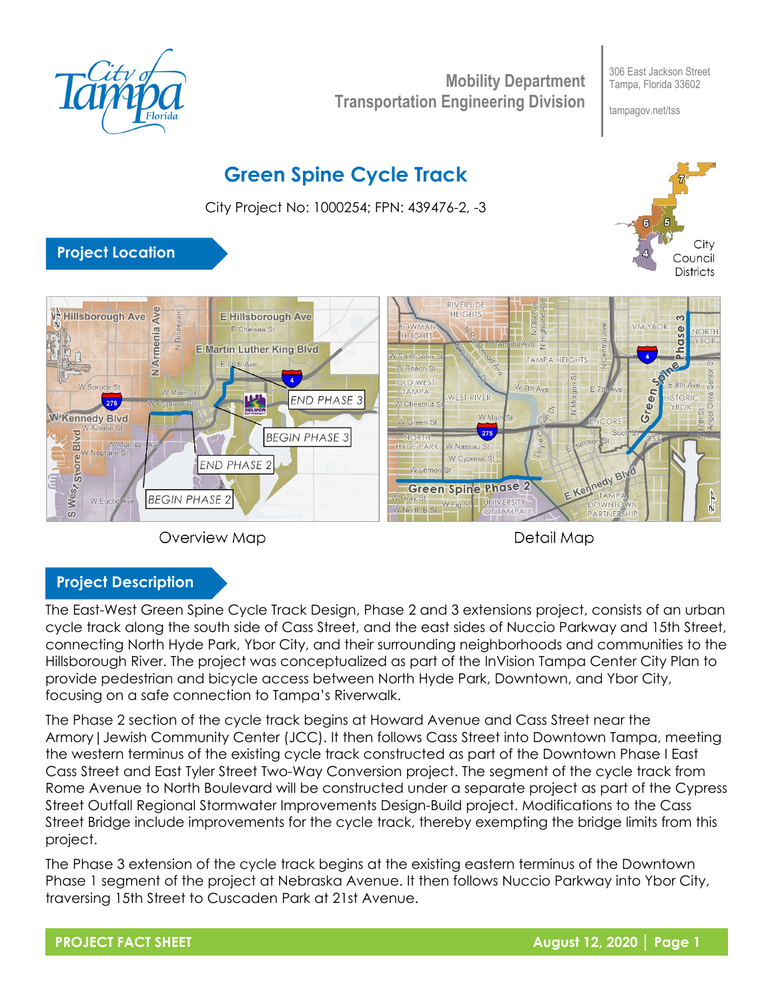

**Mobility Department Transportation Engineering Division**

306 East Jackson Street Tampa, Florida 33602

tampagov.net/tss

# **Green Spine Cycle Track**

City Project No: 1000254; FPN: 439476-2, -3



## **Project Location**





Detail Map

### **Project Description**

The East-West Green Spine Cycle Track Design, Phase 2 and 3 extensions project, consists of an urban cycle track along the south side of Cass Street, and the east sides of Nuccio Parkway and 15th Street, connecting North Hyde Park, Ybor City, and their surrounding neighborhoods and communities to the Hillsborough River. The project was conceptualized as part of the InVision Tampa Center City Plan to provide pedestrian and bicycle access between North Hyde Park, Downtown, and Ybor City, focusing on a safe connection to Tampa's Riverwalk.

The Phase 2 section of the cycle track begins at Howard Avenue and Cass Street near the Armory|Jewish Community Center (JCC). It then follows Cass Street into Downtown Tampa, meeting the western terminus of the existing cycle track constructed as part of the Downtown Phase I East Cass Street and East Tyler Street Two-Way Conversion project. The segment of the cycle track from Rome Avenue to North Boulevard will be constructed under a separate project as part of the Cypress Street Outfall Regional Stormwater Improvements Design-Build project. Modifications to the Cass Street Bridge include improvements for the cycle track, thereby exempting the bridge limits from this project.

The Phase 3 extension of the cycle track begins at the existing eastern terminus of the Downtown Phase 1 segment of the project at Nebraska Avenue. It then follows Nuccio Parkway into Ybor City, traversing 15th Street to Cuscaden Park at 21st Avenue.